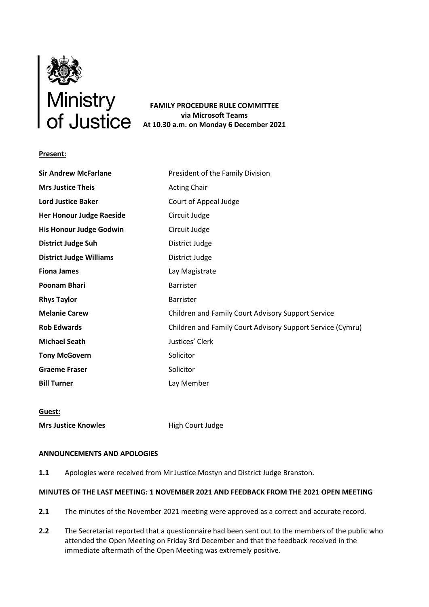

**FAMILY PROCEDURE RULE COMMITTEE via Microsoft Teams At 10.30 a.m. on Monday 6 December 2021**

### **Present:**

| <b>Sir Andrew McFarlane</b>     | President of the Family Division                           |
|---------------------------------|------------------------------------------------------------|
| <b>Mrs Justice Theis</b>        | <b>Acting Chair</b>                                        |
| <b>Lord Justice Baker</b>       | Court of Appeal Judge                                      |
| <b>Her Honour Judge Raeside</b> | Circuit Judge                                              |
| His Honour Judge Godwin         | Circuit Judge                                              |
| <b>District Judge Suh</b>       | District Judge                                             |
| <b>District Judge Williams</b>  | District Judge                                             |
| <b>Fiona James</b>              | Lay Magistrate                                             |
| <b>Poonam Bhari</b>             | <b>Barrister</b>                                           |
| <b>Rhys Taylor</b>              | Barrister                                                  |
| <b>Melanie Carew</b>            | Children and Family Court Advisory Support Service         |
| <b>Rob Edwards</b>              | Children and Family Court Advisory Support Service (Cymru) |
| <b>Michael Seath</b>            | Justices' Clerk                                            |
| <b>Tony McGovern</b>            | Solicitor                                                  |
| <b>Graeme Fraser</b>            | Solicitor                                                  |
| <b>Bill Turner</b>              | Lay Member                                                 |

## **Guest:**

**Mrs Justice Knowles** High Court Judge

#### **ANNOUNCEMENTS AND APOLOGIES**

**1.1** Apologies were received from Mr Justice Mostyn and District Judge Branston.

## **MINUTES OF THE LAST MEETING: 1 NOVEMBER 2021 AND FEEDBACK FROM THE 2021 OPEN MEETING**

- **2.1** The minutes of the November 2021 meeting were approved as a correct and accurate record.
- **2.2** The Secretariat reported that a questionnaire had been sent out to the members of the public who attended the Open Meeting on Friday 3rd December and that the feedback received in the immediate aftermath of the Open Meeting was extremely positive.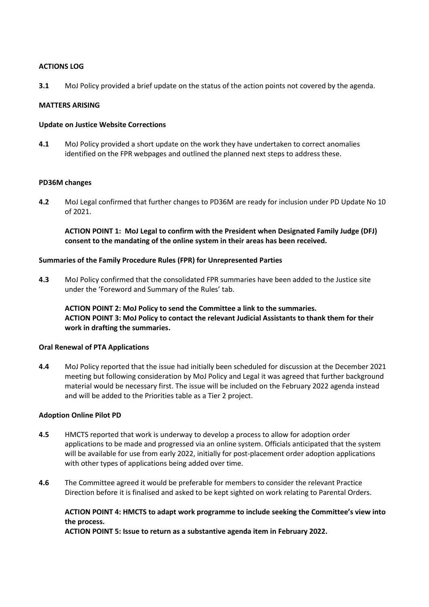### **ACTIONS LOG**

**3.1** MoJ Policy provided a brief update on the status of the action points not covered by the agenda.

### **MATTERS ARISING**

### **Update on Justice Website Corrections**

**4.1** MoJ Policy provided a short update on the work they have undertaken to correct anomalies identified on the FPR webpages and outlined the planned next steps to address these.

#### **PD36M changes**

**4.2** MoJ Legal confirmed that further changes to PD36M are ready for inclusion under PD Update No 10 of 2021.

**ACTION POINT 1: MoJ Legal to confirm with the President when Designated Family Judge (DFJ) consent to the mandating of the online system in their areas has been received.** 

### **Summaries of the Family Procedure Rules (FPR) for Unrepresented Parties**

**4.3** MoJ Policy confirmed that the consolidated FPR summaries have been added to the Justice site under the 'Foreword and Summary of the Rules' tab.

**ACTION POINT 2: MoJ Policy to send the Committee a link to the summaries. ACTION POINT 3: MoJ Policy to contact the relevant Judicial Assistants to thank them for their work in drafting the summaries.**

## **Oral Renewal of PTA Applications**

**4.4** MoJ Policy reported that the issue had initially been scheduled for discussion at the December 2021 meeting but following consideration by MoJ Policy and Legal it was agreed that further background material would be necessary first. The issue will be included on the February 2022 agenda instead and will be added to the Priorities table as a Tier 2 project.

## **Adoption Online Pilot PD**

- **4.5** HMCTS reported that work is underway to develop a process to allow for adoption order applications to be made and progressed via an online system. Officials anticipated that the system will be available for use from early 2022, initially for post-placement order adoption applications with other types of applications being added over time.
- **4.6** The Committee agreed it would be preferable for members to consider the relevant Practice Direction before it is finalised and asked to be kept sighted on work relating to Parental Orders.

## **ACTION POINT 4: HMCTS to adapt work programme to include seeking the Committee's view into the process.**

**ACTION POINT 5: Issue to return as a substantive agenda item in February 2022.**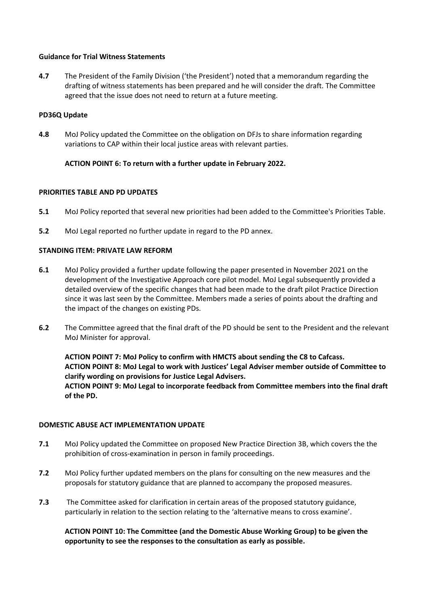## **Guidance for Trial Witness Statements**

**4.7** The President of the Family Division ('the President') noted that a memorandum regarding the drafting of witness statements has been prepared and he will consider the draft. The Committee agreed that the issue does not need to return at a future meeting.

### **PD36Q Update**

**4.8** MoJ Policy updated the Committee on the obligation on DFJs to share information regarding variations to CAP within their local justice areas with relevant parties.

## **ACTION POINT 6: To return with a further update in February 2022.**

#### **PRIORITIES TABLE AND PD UPDATES**

- **5.1** MoJ Policy reported that several new priorities had been added to the Committee's Priorities Table.
- **5.2** MoJ Legal reported no further update in regard to the PD annex.

## **STANDING ITEM: PRIVATE LAW REFORM**

- **6.1** MoJ Policy provided a further update following the paper presented in November 2021 on the development of the Investigative Approach core pilot model. MoJ Legal subsequently provided a detailed overview of the specific changes that had been made to the draft pilot Practice Direction since it was last seen by the Committee. Members made a series of points about the drafting and the impact of the changes on existing PDs.
- **6.2** The Committee agreed that the final draft of the PD should be sent to the President and the relevant MoJ Minister for approval.

**ACTION POINT 7: MoJ Policy to confirm with HMCTS about sending the C8 to Cafcass. ACTION POINT 8: MoJ Legal to work with Justices' Legal Adviser member outside of Committee to clarify wording on provisions for Justice Legal Advisers. ACTION POINT 9: MoJ Legal to incorporate feedback from Committee members into the final draft of the PD.** 

#### **DOMESTIC ABUSE ACT IMPLEMENTATION UPDATE**

- **7.1** MoJ Policy updated the Committee on proposed New Practice Direction 3B, which covers the the prohibition of cross-examination in person in family proceedings.
- **7.2** MoJ Policy further updated members on the plans for consulting on the new measures and the proposals for statutory guidance that are planned to accompany the proposed measures.
- **7.3** The Committee asked for clarification in certain areas of the proposed statutory guidance, particularly in relation to the section relating to the 'alternative means to cross examine'.

# **ACTION POINT 10: The Committee (and the Domestic Abuse Working Group) to be given the opportunity to see the responses to the consultation as early as possible.**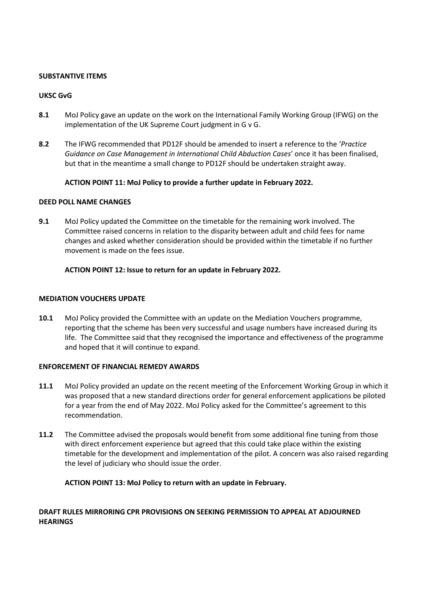## **SUBSTANTIVE ITEMS**

# **UKSC GvG**

- **8.1** MoJ Policy gave an update on the work on the International Family Working Group (IFWG) on the implementation of the UK Supreme Court judgment in G v G.
- **8.2** The IFWG recommended that PD12F should be amended to insert a reference to the '*Practice Guidance on Case Management in International Child Abduction Cases*' once it has been finalised, but that in the meantime a small change to PD12F should be undertaken straight away.

# **ACTION POINT 11: MoJ Policy to provide a further update in February 2022.**

## **DEED POLL NAME CHANGES**

**9.1** MoJ Policy updated the Committee on the timetable for the remaining work involved. The Committee raised concerns in relation to the disparity between adult and child fees for name changes and asked whether consideration should be provided within the timetable if no further movement is made on the fees issue.

# **ACTION POINT 12: Issue to return for an update in February 2022.**

## **MEDIATION VOUCHERS UPDATE**

**10.1** MoJ Policy provided the Committee with an update on the Mediation Vouchers programme, reporting that the scheme has been very successful and usage numbers have increased during its life. The Committee said that they recognised the importance and effectiveness of the programme and hoped that it will continue to expand.

## **ENFORCEMENT OF FINANCIAL REMEDY AWARDS**

- **11.1** MoJ Policy provided an update on the recent meeting of the Enforcement Working Group in which it was proposed that a new standard directions order for general enforcement applications be piloted for a year from the end of May 2022. MoJ Policy asked for the Committee's agreement to this recommendation.
- **11.2** The Committee advised the proposals would benefit from some additional fine tuning from those with direct enforcement experience but agreed that this could take place within the existing timetable for the development and implementation of the pilot. A concern was also raised regarding the level of judiciary who should issue the order.

## **ACTION POINT 13: MoJ Policy to return with an update in February.**

# **DRAFT RULES MIRRORING CPR PROVISIONS ON SEEKING PERMISSION TO APPEAL AT ADJOURNED HEARINGS**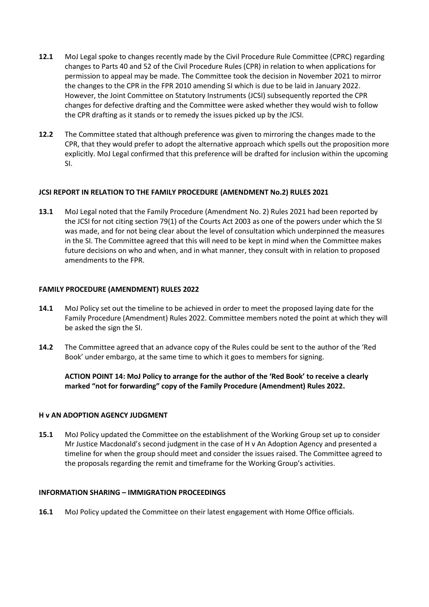- **12.1** MoJ Legal spoke to changes recently made by the Civil Procedure Rule Committee (CPRC) regarding changes to Parts 40 and 52 of the Civil Procedure Rules (CPR) in relation to when applications for permission to appeal may be made. The Committee took the decision in November 2021 to mirror the changes to the CPR in the FPR 2010 amending SI which is due to be laid in January 2022. However, the Joint Committee on Statutory Instruments (JCSI) subsequently reported the CPR changes for defective drafting and the Committee were asked whether they would wish to follow the CPR drafting as it stands or to remedy the issues picked up by the JCSI.
- **12.2** The Committee stated that although preference was given to mirroring the changes made to the CPR, that they would prefer to adopt the alternative approach which spells out the proposition more explicitly. MoJ Legal confirmed that this preference will be drafted for inclusion within the upcoming SI.

# **JCSI REPORT IN RELATION TO THE FAMILY PROCEDURE (AMENDMENT No.2) RULES 2021**

**13.1** MoJ Legal noted that the Family Procedure (Amendment No. 2) Rules 2021 had been reported by the JCSI for not citing section 79(1) of the Courts Act 2003 as one of the powers under which the SI was made, and for not being clear about the level of consultation which underpinned the measures in the SI. The Committee agreed that this will need to be kept in mind when the Committee makes future decisions on who and when, and in what manner, they consult with in relation to proposed amendments to the FPR.

## **FAMILY PROCEDURE (AMENDMENT) RULES 2022**

- **14.1** MoJ Policy set out the timeline to be achieved in order to meet the proposed laying date for the Family Procedure (Amendment) Rules 2022. Committee members noted the point at which they will be asked the sign the SI.
- **14.2** The Committee agreed that an advance copy of the Rules could be sent to the author of the 'Red Book' under embargo, at the same time to which it goes to members for signing.

**ACTION POINT 14: MoJ Policy to arrange for the author of the 'Red Book' to receive a clearly marked "not for forwarding" copy of the Family Procedure (Amendment) Rules 2022.**

## **H v AN ADOPTION AGENCY JUDGMENT**

**15.1** MoJ Policy updated the Committee on the establishment of the Working Group set up to consider Mr Justice Macdonald's second judgment in the case of H v An Adoption Agency and presented a timeline for when the group should meet and consider the issues raised. The Committee agreed to the proposals regarding the remit and timeframe for the Working Group's activities.

## **INFORMATION SHARING – IMMIGRATION PROCEEDINGS**

**16.1** MoJ Policy updated the Committee on their latest engagement with Home Office officials.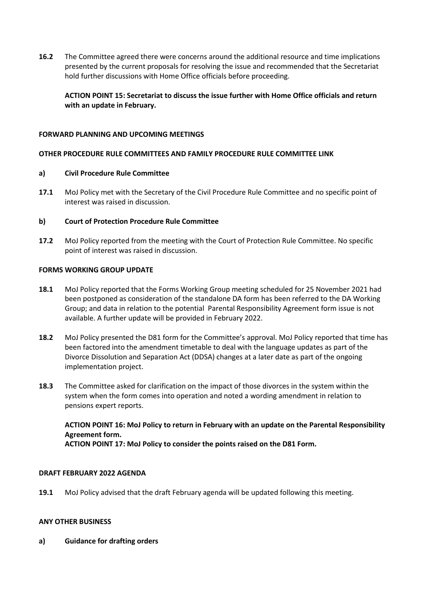**16.2** The Committee agreed there were concerns around the additional resource and time implications presented by the current proposals for resolving the issue and recommended that the Secretariat hold further discussions with Home Office officials before proceeding.

**ACTION POINT 15: Secretariat to discuss the issue further with Home Office officials and return with an update in February.**

## **FORWARD PLANNING AND UPCOMING MEETINGS**

### **OTHER PROCEDURE RULE COMMITTEES AND FAMILY PROCEDURE RULE COMMITTEE LINK**

#### **a) Civil Procedure Rule Committee**

**17.1** MoJ Policy met with the Secretary of the Civil Procedure Rule Committee and no specific point of interest was raised in discussion.

#### **b) Court of Protection Procedure Rule Committee**

**17.2** MoJ Policy reported from the meeting with the Court of Protection Rule Committee. No specific point of interest was raised in discussion.

# **FORMS WORKING GROUP UPDATE**

- **18.1** MoJ Policy reported that the Forms Working Group meeting scheduled for 25 November 2021 had been postponed as consideration of the standalone DA form has been referred to the DA Working Group; and data in relation to the potential Parental Responsibility Agreement form issue is not available. A further update will be provided in February 2022.
- **18.2** MoJ Policy presented the D81 form for the Committee's approval. MoJ Policy reported that time has been factored into the amendment timetable to deal with the language updates as part of the Divorce Dissolution and Separation Act (DDSA) changes at a later date as part of the ongoing implementation project.
- **18.3** The Committee asked for clarification on the impact of those divorces in the system within the system when the form comes into operation and noted a wording amendment in relation to pensions expert reports.

**ACTION POINT 16: MoJ Policy to return in February with an update on the Parental Responsibility Agreement form. ACTION POINT 17: MoJ Policy to consider the points raised on the D81 Form.**

#### **DRAFT FEBRUARY 2022 AGENDA**

**19.1** MoJ Policy advised that the draft February agenda will be updated following this meeting.

#### **ANY OTHER BUSINESS**

**a) Guidance for drafting orders**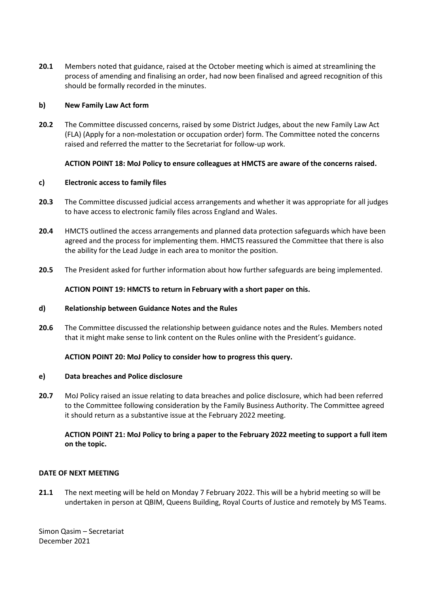**20.1** Members noted that guidance, raised at the October meeting which is aimed at streamlining the process of amending and finalising an order, had now been finalised and agreed recognition of this should be formally recorded in the minutes.

### **b) New Family Law Act form**

**20.2** The Committee discussed concerns, raised by some District Judges, about the new Family Law Act (FLA) (Apply for a non-molestation or occupation order) form. The Committee noted the concerns raised and referred the matter to the Secretariat for follow-up work.

#### **ACTION POINT 18: MoJ Policy to ensure colleagues at HMCTS are aware of the concerns raised.**

#### **c) Electronic access to family files**

- **20.3** The Committee discussed judicial access arrangements and whether it was appropriate for all judges to have access to electronic family files across England and Wales.
- **20.4** HMCTS outlined the access arrangements and planned data protection safeguards which have been agreed and the process for implementing them. HMCTS reassured the Committee that there is also the ability for the Lead Judge in each area to monitor the position.
- **20.5** The President asked for further information about how further safeguards are being implemented.

#### **ACTION POINT 19: HMCTS to return in February with a short paper on this.**

#### **d) Relationship between Guidance Notes and the Rules**

**20.6** The Committee discussed the relationship between guidance notes and the Rules. Members noted that it might make sense to link content on the Rules online with the President's guidance.

#### **ACTION POINT 20: MoJ Policy to consider how to progress this query.**

#### **e) Data breaches and Police disclosure**

**20.7** MoJ Policy raised an issue relating to data breaches and police disclosure, which had been referred to the Committee following consideration by the Family Business Authority. The Committee agreed it should return as a substantive issue at the February 2022 meeting.

# **ACTION POINT 21: MoJ Policy to bring a paper to the February 2022 meeting to support a full item on the topic.**

# **DATE OF NEXT MEETING**

**21.1** The next meeting will be held on Monday 7 February 2022. This will be a hybrid meeting so will be undertaken in person at QBIM, Queens Building, Royal Courts of Justice and remotely by MS Teams.

Simon Qasim – Secretariat December 2021